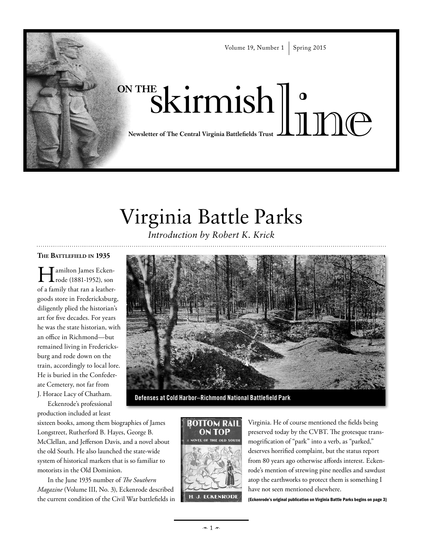

# Virginia Battle Parks

*Introduction by Robert K. Krick* 

#### **The Battlefield in 1935**

I amilton James Ecken-<br>rode (1881-1952), son of a family that ran a leathergoods store in Fredericksburg, diligently plied the historian's art for five decades. For years he was the state historian, with an office in Richmond—but remained living in Fredericksburg and rode down on the train, accordingly to local lore. He is buried in the Confederate Cemetery, not far from J. Horace Lacy of Chatham.

Eckenrode's professional production included at least

sixteen books, among them biographies of James Longstreet, Rutherford B. Hayes, George B. McClellan, and Jefferson Davis, and a novel about the old South. He also launched the state-wide system of historical markers that is so familiar to motorists in the Old Dominion.

In the June 1935 number of *The Southern Magazine* (Volume III, No. 3), Eckenrode described the current condition of the Civil War battlefields in



**Defenses at Cold Harbor–Richmond National Battlefield Park**



Virginia. He of course mentioned the fields being preserved today by the CVBT. The grotesque transmogrification of "park" into a verb, as "parked," deserves horrified complaint, but the status report from 80 years ago otherwise affords interest. Eckenrode's mention of strewing pine needles and sawdust atop the earthworks to protect them is something I have not seen mentioned elsewhere.

{Eckenrode's original publication on Virginia Battle Parks begins on page 3}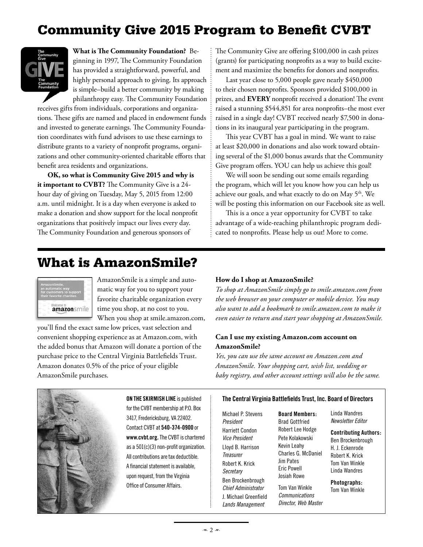## Community Give 2015 Program to Benefit CVBT



**What is The Community Foundation?** Beginning in 1997, The Community Foundation has provided a straightforward, powerful, and highly personal approach to giving. Its approach is simple–build a better community by making philanthropy easy. The Community Foundation

receives gifts from individuals, corporations and organizations. These gifts are named and placed in endowment funds and invested to generate earnings. The Community Foundation coordinates with fund advisors to use these earnings to distribute grants to a variety of nonprofit programs, organizations and other community-oriented charitable efforts that benefit area residents and organizations.

**OK, so what is Community Give 2015 and why is it important to CVBT?** The Community Give is a 24 hour day of giving on Tuesday, May 5, 2015 from 12:00 a.m. until midnight. It is a day when everyone is asked to make a donation and show support for the local nonprofit organizations that positively impact our lives every day. The Community Foundation and generous sponsors of

The Community Give are offering \$100,000 in cash prizes (grants) for participating nonprofits as a way to build excitement and maximize the benefits for donors and nonprofits.

Last year close to 5,000 people gave nearly \$450,000 to their chosen nonprofits. Sponsors provided \$100,000 in prizes, and **EVERY** nonprofit received a donation! The event raised a stunning \$544,851 for area nonprofits–the most ever raised in a single day! CVBT received nearly \$7,500 in donations in its inaugural year participating in the program.

This year CVBT has a goal in mind. We want to raise at least \$20,000 in donations and also work toward obtaining several of the \$1,000 bonus awards that the Community Give program offers. YOU can help us achieve this goal!

We will soon be sending out some emails regarding the program, which will let you know how you can help us achieve our goals, and what exactly to do on May 5<sup>th</sup>. We will be posting this information on our Facebook site as well.

This is a once a year opportunity for CVBT to take advantage of a wide-reaching philanthropic program dedicated to nonprofits. Please help us out! More to come.

### What is AmazonSmile?

| AmazonSmile<br>an automatic way                     |  |
|-----------------------------------------------------|--|
| or customers to support<br>their favorite charities |  |
| amazonsmil                                          |  |

AmazonSmile is a simple and automatic way for you to support your favorite charitable organization every time you shop, at no cost to you. When you shop at smile.amazon.com,

you'll find the exact same low prices, vast selection and convenient shopping experience as at Amazon.com, with the added bonus that Amazon will donate a portion of the purchase price to the Central Virginia Battlefields Trust. Amazon donates 0.5% of the price of your eligible AmazonSmile purchases.

#### **How do I shop at AmazonSmile?**

*To shop at AmazonSmile simply go to smile.amazon.com from the web browser on your computer or mobile device. You may also want to add a bookmark to smile.amazon.com to make it even easier to return and start your shopping at AmazonSmile.*

#### **Can I use my existing Amazon.com account on AmazonSmile?**

*Yes, you can use the same account on Amazon.com and AmazonSmile. Your shopping cart, wish list, wedding or baby registry, and other account settings will also be the same.*



for the CVBT membership at P.O. Box 3417, Fredericksburg, VA 22402. Contact CVBT at **540-374-0900** or **www.cvbt.org.** The CVBT is chartered as a 501(c)(3) non-profit organization. All contributions are tax deductible. A financial statement is available, upon request, from the Virginia Office of Consumer Affairs.

#### **On the Skirmish Line** is published **The Central Virginia Battlefields Trust, Inc. Board of Directors**

Michael P. Stevens *President* Harriett Condon *Vice President* Lloyd B. Harrison *Treasurer* Robert K. Krick *Secretary*  Ben Brockenbrough *Chief Administrator* J. Michael Greenfield *Lands Management*

**Board Members:** Brad Gottfried Robert Lee Hodge Pete Kolakowski Kevin Leahy Charles G. McDaniel Jim Pates Eric Powell Josiah Rowe

Tom Van Winkle *Communications Director, Web Master* Linda Wandres *Newsletter Editor*

**Contributing Authors:** Ben Brockenbrough H. J. Eckenrode Robert K. Krick Tom Van Winkle Linda Wandres

#### **Photographs:**

Tom Van Winkle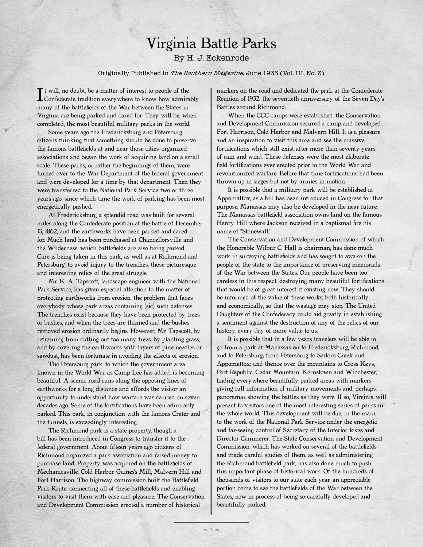## Virginia Battle Parks

#### By H. J. Eckenrode

#### Originally Published in *The Southern Magazine*, June 1935 (Vol. III, No. 3)

 $\prod$ t will, no doubt, be a matter of interest to people of the<br>Confederate tradition everywhere to know how admirably<br>measy of the hattlefields of the Westerlands in States in t will, no doubt, be a matter of interest to people of the many of the battlefields of the War between the States in Virginia are being parked and cared for. They will be, when completed, the most beautiful military parks in the world.

Some years ago the Fredericksburg and Petersburg citizens thinking that something should be done to preserve the famous battlefields at and near those cities, organized associations and began the work of acquiring land on a small scale. These parks, or rather the beginnings of them, were turned over to the War Department of the federal government and were developed for a time by that department. Then they were transferred to the National Park Service two or three years ago, since which time the work of parking has been most energetically pushed.

At Fredericksburg a splendid road was built for several miles along the Confederate position at the battle of December 13, 1862, and the earthworks have been parked and cared for. Much land has been purchased at Chancellorsville and the Wilderness, which battlefields are also being parked. Care is being taken in this park, as well as at Richmond and Petersburg, to avoid injury to the trenches, those picturesque and interesting relics of the great struggle.

Mr. K. A. Tapscott, landscape engineer with the National Park Service, has given especial attention to the matter of protecting earthworks from erosion, the problem that faces everybody whose park areas containing (sic) such defenses. The trenches exist because they have been protected by trees or bushes, and when the trees are thinned and the bushes removed erosion ordinarily begins. However, Mr. Tapscott, by refraining from cutting out too many trees, by planting grass, and by covering the earthworks with layers of pine needles or sawdust, has been fortunate in avoiding the effects of erosion.

The Petersburg park, to which the government area known in the World War as Camp Lee has added, is becoming beautiful. A scenic road runs along the opposing lines of earthworks for a long distance and affords the visitor an opportunity to understand how warfare was carried on seven decades ago. Some of the fortifications have been admirably parked. This park, in conjunction with the famous Crater and the tunnels, is exceedingly interesting.

The Richmond park is a state property, though a bill has been introduced in Congress to transfer it to the federal government. About fifteen years ago citizens of Richmond organized a park association and raised money to purchase land. Property was acquired on the battlefields of Mechanicsville, Cold Harbor, Gaines's Mill, Malvern Hill and Fort Harrison. The highway commission built the Battlefield Park Route, connecting all of these battlefields and enabling visitors to visit them with ease and pleasure. The Conservation and Development Commission erected a number of historical

markers on the road and dedicated the park at the Confederate Reunion of 1932, the seventieth anniversary of the Seven Day's Battles around Richmond.

When the CCC camps were established, the Conservation and Development Commission secured a camp and developed Fort Harrison, Cold Harbor and Malvern Hill. It is a pleasure and an inspiration to visit this area and see the massive fortifications which still exist after more than seventy years of rain and wind. These defenses were the most elaborate field fortifications ever erected prior to the World War and revolutionized warfare. Before that time fortifications had been thrown up in sieges but not by armies in motion.

It is possible that a military park will be established at Appomattox, as a bill has been introduced in Congress for that purpose. Manassas may also be developed in the near future. The Manassas battlefield association owns land on the famous Henry Hill where Jackson received in a baptismal fire his name of "Stonewall."

The Conservation and Development Commission of which the Honorable Wilbur C. Hall is chairman, has done much work in surveying battlefields and has sought to awaken the people of the state to the importance of preserving memorials of the War between the States. Our people have been too careless in this respect, destroying many beautiful fortifications that would be of great interest if existing now. They should be informed of the value of these works, both historically and economically, so that the wastage may stop. The United Daughters of the Confederacy could aid greatly in establishing a sentiment against the destruction of any of the relics of our history, every day of more value to us.

It is possible that in a few years travelers will be able to go from a park at Manassas on to Fredericksburg, Richmond, and to Petersburg; from Petersburg to Sailor's Creek and Appomattox; and thence over the mountains to Cross Keys, Port Republic, Cedar Mountain, Kernstown and Winchester, finding everywhere beautifully parked areas with markers giving full information of military movements and, perhaps, panoramas showing the battles as they were. If so, Virginia will present to visitors one of the most interesting series of parks in the whole world. This development will be due, in the main, to the work of the National Park Service under the energetic and far-seeing control of Secretary of the Interior Ickes and Director Cammerer. The State Conservation and Development Commission, which has worked on several of the battlefields and made careful studies of them, as well as administering the Richmond battlefield park, has also done much to push this important phase of historical work. Of the hundreds of thousands of visitors to our state each year, an appreciable portion come to see the battlefields of the War between the States, now in process of being so carefully developed and beautifully parked.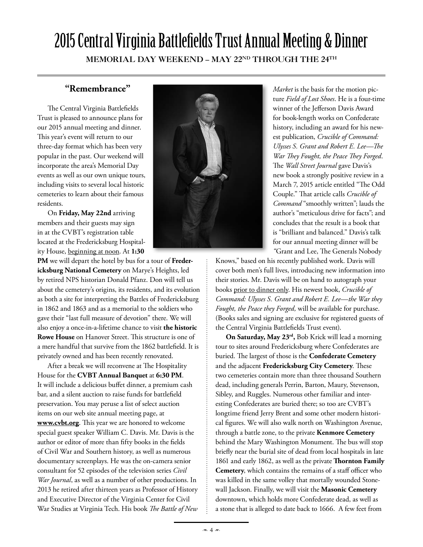# 2015 Central Virginia Battlefields Trust Annual Meeting & Dinner

MEMORIAL DAY WEEKEND - MAY 22ND THROUGH THE 24TH

#### **"Remembrance"**

The Central Virginia Battlefields Trust is pleased to announce plans for our 2015 annual meeting and dinner. This year's event will return to our three-day format which has been very popular in the past. Our weekend will incorporate the area's Memorial Day events as well as our own unique tours, including visits to several local historic cemeteries to learn about their famous residents.

On **Friday, May 22nd** arriving members and their guests may sign in at the CVBT's registration table located at the Fredericksburg Hospitality House, beginning at noon. At **1:30** 

**PM** we will depart the hotel by bus for a tour of **Fredericksburg National Cemetery** on Marye's Heights, led by retired NPS historian Donald Pfanz. Don will tell us about the cemetery's origins, its residents, and its evolution as both a site for interpreting the Battles of Fredericksburg in 1862 and 1863 and as a memorial to the soldiers who gave their "last full measure of devotion" there. We will also enjoy a once-in-a-lifetime chance to visit **the historic Rowe House** on Hanover Street. This structure is one of a mere handful that survive from the 1862 battlefield. It is privately owned and has been recently renovated.

After a break we will reconvene at The Hospitality House for the **CVBT Annual Banquet** at **6:30 PM**. It will include a delicious buffet dinner, a premium cash bar, and a silent auction to raise funds for battlefield preservation. You may peruse a list of select auction items on our web site annual meeting page, at **www.cvbt.org**. This year we are honored to welcome special guest speaker William C. Davis. Mr. Davis is the author or editor of more than fifty books in the fields of Civil War and Southern history, as well as numerous documentary screenplays. He was the on-camera senior consultant for 52 episodes of the television series *Civil War Journal*, as well as a number of other productions. In 2013 he retired after thirteen years as Professor of History and Executive Director of the Virginia Center for Civil War Studies at Virginia Tech. His book *The Battle of New* 



*Market* is the basis for the motion picture *Field of Lost Shoes*. He is a four-time winner of the Jefferson Davis Award for book-length works on Confederate history, including an award for his newest publication, *Crucible of Command: Ulysses S. Grant and Robert E. Lee—The War They Fought, the Peace They Forged*. The *Wall Street Journal* gave Davis's new book a strongly positive review in a March 7, 2015 article entitled "The Odd Couple." That article calls *Crucible of Command* "smoothly written"; lauds the author's "meticulous drive for facts"; and concludes that the result is a book that is "brilliant and balanced." Davis's talk for our annual meeting dinner will be *"*Grant and Lee, The Generals Nobody

Knows," based on his recently published work. Davis will cover both men's full lives, introducing new information into their stories. Mr. Davis will be on hand to autograph your books prior to dinner only. His newest book, *Crucible of Command: Ulysses S. Grant and Robert E. Lee—the War they Fought, the Peace they Forged,* will be available for purchase. (Books sales and signing are exclusive for registered guests of the Central Virginia Battlefields Trust event).

**On Saturday, May 23rd,** Bob Krick will lead a morning tour to sites around Fredericksburg where Confederates are buried. The largest of those is the **Confederate Cemetery** and the adjacent **Fredericksburg City Cemetery**. These two cemeteries contain more than three thousand Southern dead, including generals Perrin, Barton, Maury, Stevenson, Sibley, and Ruggles. Numerous other familiar and interesting Confederates are buried there; so too are CVBT's longtime friend Jerry Brent and some other modern historical figures. We will also walk north on Washington Avenue, through a battle zone, to the private **Kenmore Cemetery** behind the Mary Washington Monument. The bus will stop briefly near the burial site of dead from local hospitals in late 1861 and early 1862, as well as the private **Thornton Family Cemetery**, which contains the remains of a staff officer who was killed in the same volley that mortally wounded Stonewall Jackson. Finally, we will visit the **Masonic Cemetery** downtown, which holds more Confederate dead, as well as a stone that is alleged to date back to 1666. A few feet from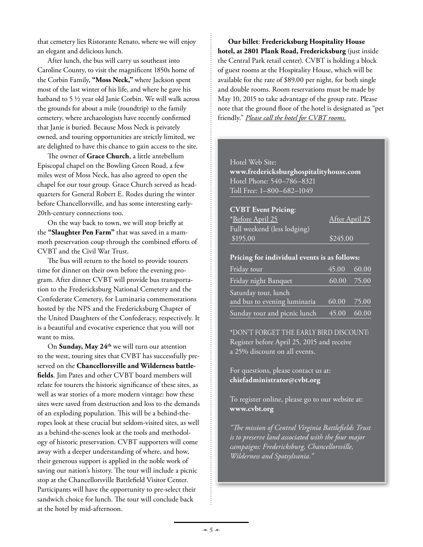that cemetery lies Ristorante Renato, where we will enjoy an elegant and delicious lunch.

After lunch, the bus will carry us southeast into Caroline County, to visit the magnificent 1850s home of the Corbin Family, **"Moss Neck,"** where Jackson spent most of the last winter of his life, and where he gave his hatband to 5 ½ year old Janie Corbin. We will walk across the grounds for about a mile (roundtrip) to the family cemetery, where archaeologists have recently confirmed that Janie is buried. Because Moss Neck is privately owned, and touring opportunities are strictly limited, we are delighted to have this chance to gain access to the site.

The owner of **Grace Church**, a little antebellum Episcopal chapel on the Bowling Green Road, a few miles west of Moss Neck, has also agreed to open the chapel for our tour group. Grace Church served as headquarters for General Robert E. Rodes during the winter before Chancellorsville, and has some interesting early-20th-century connections too.

On the way back to town, we will stop briefly at the **"Slaughter Pen Farm"** that was saved in a mammoth preservation coup through the combined efforts of CVBT and the Civil War Trust.

The bus will return to the hotel to provide tourers time for dinner on their own before the evening program. After dinner CVBT will provide bus transportation to the Fredericksburg National Cemetery and the Confederate Cemetery, for Luminaria commemorations hosted by the NPS and the Fredericksburg Chapter of the United Daughters of the Confederacy, respectively. It is a beautiful and evocative experience that you will not want to miss.

On **Sunday, May 24th** we will turn our attention to the west, touring sites that CVBT has successfully preserved on the **Chancellorsville and Wilderness battlefields**. Jim Pates and other CVBT board members will relate for tourers the historic significance of these sites, as well as war stories of a more modern vintage: how these sites were saved from destruction and loss to the demands of an exploding population. This will be a behind-theropes look at these crucial but seldom-visited sites, as well as a behind-the-scenes look at the tools and methodology of historic preservation. CVBT supporters will come away with a deeper understanding of where, and how, their generous support is applied in the noble work of saving our nation's history. The tour will include a picnic stop at the Chancellorsville Battlefield Visitor Center. Participants will have the opportunity to pre-select their sandwich choice for lunch. The tour will conclude back at the hotel by mid-afternoon.

**Our billet**: **Fredericksburg Hospitality House hotel, at 2801 Plank Road, Fredericksburg** (just inside the Central Park retail center). CVBT is holding a block of guest rooms at the Hospitality House, which will be available for the rate of \$89.00 per night, for both single and double rooms. Room reservations must be made by May 10, 2015 to take advantage of the group rate. Please note that the ground floor of the hotel is designated as "pet friendly." *Please call the hotel for CVBT rooms*.

#### Hotel Web Site:

**www.fredericksburghospitalityhouse.com** Hotel Phone: 540–786–8321 Toll Free: 1–800–682–1049

#### **CVBT Event Pricing**:

| * <u>Before April 25</u>    | After April 25 |
|-----------------------------|----------------|
| Full weekend (less lodging) |                |
| \$195.00                    | \$245.00       |
|                             |                |

#### **Pricing for individual events is as follows:**

| Friday tour                  | 45.00 60.00   |       |
|------------------------------|---------------|-------|
| Friday night Banquet         | $60.00$ 75.00 |       |
| Saturday tour, lunch         |               |       |
| and bus to evening luminaria | 60.00         | 75.00 |
| Sunday tour and picnic lunch | 45.00         | 60.00 |

\*DON'T FORGET THE EARLY BIRD DISCOUNT! Register before April 25, 2015 and receive a 25% discount on all events.

For questions, please contact us at: **chiefadministrator@cvbt.org**

To register online, please go to our website at: **www.cvbt.org**

*"The mission of Central Virginia Battlefields Trust is to preserve land associated with the four major campaigns: Fredericksburg, Chancellorsville, Wilderness and Spotsylvania."*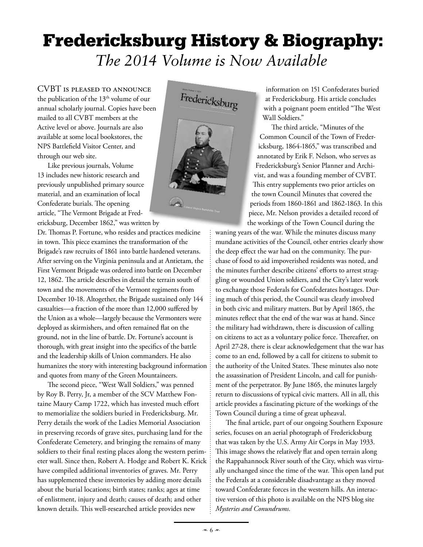## Fredericksburg History & Biography: *The 2014 Volume is Now Available*

CVBT is pleased to announce the publication of the 13<sup>th</sup> volume of our annual scholarly journal. Copies have been mailed to all CVBT members at the Active level or above. Journals are also available at some local bookstores, the NPS Battlefield Visitor Center, and through our web site.

Like previous journals, Volume 13 includes new historic research and previously unpublished primary source material, and an examination of local Confederate burials. The opening article, "The Vermont Brigade at Fredericksburg, December 1862," was written by

Dr. Thomas P. Fortune, who resides and practices medicine in town. This piece examines the transformation of the Brigade's raw recruits of 1861 into battle hardened veterans. After serving on the Virginia peninsula and at Antietam, the First Vermont Brigade was ordered into battle on December 12, 1862. The article describes in detail the terrain south of town and the movements of the Vermont regiments from December 10-18. Altogether, the Brigade sustained only 144 casualties—a fraction of the more than 12,000 suffered by the Union as a whole—largely because the Vermonters were deployed as skirmishers, and often remained flat on the ground, not in the line of battle. Dr. Fortune's account is thorough, with great insight into the specifics of the battle and the leadership skills of Union commanders. He also humanizes the story with interesting background information and quotes from many of the Green Mountaineers.

The second piece, "West Wall Soldiers," was penned by Roy B. Perry, Jr, a member of the SCV Matthew Fontaine Maury Camp 1722, which has invested much effort to memorialize the soldiers buried in Fredericksburg. Mr. Perry details the work of the Ladies Memorial Association in preserving records of grave sites, purchasing land for the Confederate Cemetery, and bringing the remains of many soldiers to their final resting places along the western perimeter wall. Since then, Robert A. Hodge and Robert K. Krick have compiled additional inventories of graves. Mr. Perry has supplemented these inventories by adding more details about the burial locations; birth states; ranks; ages at time of enlistment, injury and death; causes of death; and other known details. This well-researched article provides new



information on 151 Confederates buried at Fredericksburg. His article concludes with a poignant poem entitled "The West Wall Soldiers."

The third article, "Minutes of the Common Council of the Town of Fredericksburg, 1864-1865," was transcribed and annotated by Erik F. Nelson, who serves as Fredericksburg's Senior Planner and Archivist, and was a founding member of CVBT. This entry supplements two prior articles on the town Council Minutes that covered the periods from 1860-1861 and 1862-1863. In this piece, Mr. Nelson provides a detailed record of the workings of the Town Council during the

waning years of the war. While the minutes discuss many mundane activities of the Council, other entries clearly show the deep effect the war had on the community. The purchase of food to aid impoverished residents was noted, and the minutes further describe citizens' efforts to arrest straggling or wounded Union soldiers, and the City's later work to exchange those Federals for Confederates hostages. During much of this period, the Council was clearly involved in both civic and military matters. But by April 1865, the minutes reflect that the end of the war was at hand. Since the military had withdrawn, there is discussion of calling on citizens to act as a voluntary police force. Thereafter, on April 27-28, there is clear acknowledgement that the war has come to an end, followed by a call for citizens to submit to the authority of the United States. These minutes also note the assassination of President Lincoln, and call for punishment of the perpetrator. By June 1865, the minutes largely return to discussions of typical civic matters. All in all, this article provides a fascinating picture of the workings of the Town Council during a time of great upheaval.

The final article, part of our ongoing Southern Exposure series, focuses on an aerial photograph of Fredericksburg that was taken by the U.S. Army Air Corps in May 1933. This image shows the relatively flat and open terrain along the Rappahannock River south of the City, which was virtually unchanged since the time of the war. This open land put the Federals at a considerable disadvantage as they moved toward Confederate forces in the western hills. An interactive version of this photo is available on the NPS blog site *Mysteries and Conundrums.*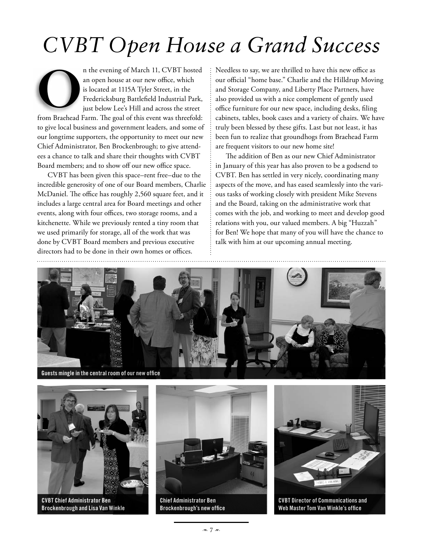# *CVBT Open House a Grand Success*

n the evening of March 11, CVBT hosted an open house at our new office, which is located at 1115A Tyler Street, in the Fredericksburg Battlefield Industrial Park, just below Lee's Hill and across the street O

from Braehead Farm. The goal of this event was threefold: to give local business and government leaders, and some of our longtime supporters, the opportunity to meet our new Chief Administrator, Ben Brockenbrough; to give attendees a chance to talk and share their thoughts with CVBT Board members; and to show off our new office space.

CVBT has been given this space–rent free–due to the incredible generosity of one of our Board members, Charlie McDaniel. The office has roughly 2,560 square feet, and it includes a large central area for Board meetings and other events, along with four offices, two storage rooms, and a kitchenette. While we previously rented a tiny room that we used primarily for storage, all of the work that was done by CVBT Board members and previous executive directors had to be done in their own homes or offices.

Needless to say, we are thrilled to have this new office as our official "home base." Charlie and the Hilldrup Moving and Storage Company, and Liberty Place Partners, have also provided us with a nice complement of gently used office furniture for our new space, including desks, filing cabinets, tables, book cases and a variety of chairs. We have truly been blessed by these gifts. Last but not least, it has been fun to realize that groundhogs from Braehead Farm are frequent visitors to our new home site!

The addition of Ben as our new Chief Administrator in January of this year has also proven to be a godsend to CVBT. Ben has settled in very nicely, coordinating many aspects of the move, and has eased seamlessly into the various tasks of working closely with president Mike Stevens and the Board, taking on the administrative work that comes with the job, and working to meet and develop good relations with you, our valued members. A big "Huzzah" for Ben! We hope that many of you will have the chance to talk with him at our upcoming annual meeting.



**Guests mingle in the central room of our new office**



**CVBT Chief Administrator Ben Brockenbrough and Lisa Van Winkle** 



**Chief Administrator Ben Brockenbrough's new office**



**CVBT Director of Communications and Web Master Tom Van Winkle's office**